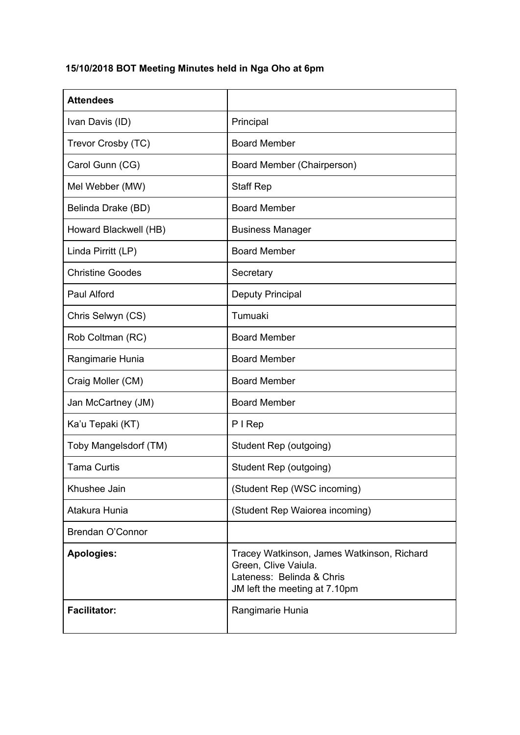## **15/10/2018 BOT Meeting Minutes held in Nga Oho at 6pm**

| <b>Attendees</b>        |                                                                                                                                  |
|-------------------------|----------------------------------------------------------------------------------------------------------------------------------|
| Ivan Davis (ID)         | Principal                                                                                                                        |
| Trevor Crosby (TC)      | <b>Board Member</b>                                                                                                              |
| Carol Gunn (CG)         | Board Member (Chairperson)                                                                                                       |
| Mel Webber (MW)         | <b>Staff Rep</b>                                                                                                                 |
| Belinda Drake (BD)      | <b>Board Member</b>                                                                                                              |
| Howard Blackwell (HB)   | <b>Business Manager</b>                                                                                                          |
| Linda Pirritt (LP)      | <b>Board Member</b>                                                                                                              |
| <b>Christine Goodes</b> | Secretary                                                                                                                        |
| Paul Alford             | <b>Deputy Principal</b>                                                                                                          |
| Chris Selwyn (CS)       | Tumuaki                                                                                                                          |
| Rob Coltman (RC)        | <b>Board Member</b>                                                                                                              |
| Rangimarie Hunia        | <b>Board Member</b>                                                                                                              |
| Craig Moller (CM)       | <b>Board Member</b>                                                                                                              |
| Jan McCartney (JM)      | <b>Board Member</b>                                                                                                              |
| Ka'u Tepaki (KT)        | PIRep                                                                                                                            |
| Toby Mangelsdorf (TM)   | Student Rep (outgoing)                                                                                                           |
| <b>Tama Curtis</b>      | Student Rep (outgoing)                                                                                                           |
| Khushee Jain            | (Student Rep (WSC incoming)                                                                                                      |
| Atakura Hunia           | (Student Rep Waiorea incoming)                                                                                                   |
| <b>Brendan O'Connor</b> |                                                                                                                                  |
| <b>Apologies:</b>       | Tracey Watkinson, James Watkinson, Richard<br>Green, Clive Vaiula.<br>Lateness: Belinda & Chris<br>JM left the meeting at 7.10pm |
| <b>Facilitator:</b>     | Rangimarie Hunia                                                                                                                 |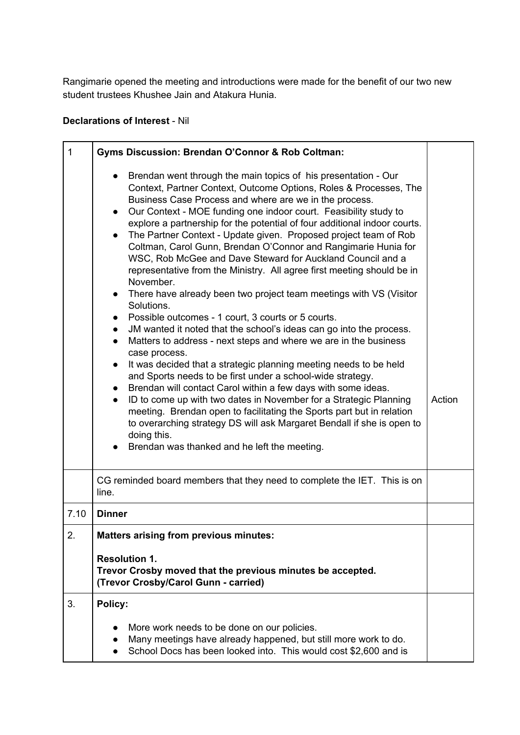Rangimarie opened the meeting and introductions were made for the benefit of our two new student trustees Khushee Jain and Atakura Hunia.

## **Declarations of Interest** - Nil

| $\mathbf{1}$ | Gyms Discussion: Brendan O'Connor & Rob Coltman:                                                                                                                                                                                                                                                                                                                                                                                                                                                                                                                                                                                                                                                                                                                                                                                                                                                                                                                                                                                                                                                                                                                                                                                                                                                                                                                                                                                                                                               |        |
|--------------|------------------------------------------------------------------------------------------------------------------------------------------------------------------------------------------------------------------------------------------------------------------------------------------------------------------------------------------------------------------------------------------------------------------------------------------------------------------------------------------------------------------------------------------------------------------------------------------------------------------------------------------------------------------------------------------------------------------------------------------------------------------------------------------------------------------------------------------------------------------------------------------------------------------------------------------------------------------------------------------------------------------------------------------------------------------------------------------------------------------------------------------------------------------------------------------------------------------------------------------------------------------------------------------------------------------------------------------------------------------------------------------------------------------------------------------------------------------------------------------------|--------|
|              | Brendan went through the main topics of his presentation - Our<br>Context, Partner Context, Outcome Options, Roles & Processes, The<br>Business Case Process and where are we in the process.<br>Our Context - MOE funding one indoor court. Feasibility study to<br>$\bullet$<br>explore a partnership for the potential of four additional indoor courts.<br>The Partner Context - Update given. Proposed project team of Rob<br>Coltman, Carol Gunn, Brendan O'Connor and Rangimarie Hunia for<br>WSC, Rob McGee and Dave Steward for Auckland Council and a<br>representative from the Ministry. All agree first meeting should be in<br>November.<br>There have already been two project team meetings with VS (Visitor<br>$\bullet$<br>Solutions.<br>Possible outcomes - 1 court, 3 courts or 5 courts.<br>JM wanted it noted that the school's ideas can go into the process.<br>$\bullet$<br>Matters to address - next steps and where we are in the business<br>case process.<br>It was decided that a strategic planning meeting needs to be held<br>and Sports needs to be first under a school-wide strategy.<br>Brendan will contact Carol within a few days with some ideas.<br>ID to come up with two dates in November for a Strategic Planning<br>$\bullet$<br>meeting. Brendan open to facilitating the Sports part but in relation<br>to overarching strategy DS will ask Margaret Bendall if she is open to<br>doing this.<br>Brendan was thanked and he left the meeting. | Action |
|              | CG reminded board members that they need to complete the IET. This is on<br>line.                                                                                                                                                                                                                                                                                                                                                                                                                                                                                                                                                                                                                                                                                                                                                                                                                                                                                                                                                                                                                                                                                                                                                                                                                                                                                                                                                                                                              |        |
| 7.10         | <b>Dinner</b>                                                                                                                                                                                                                                                                                                                                                                                                                                                                                                                                                                                                                                                                                                                                                                                                                                                                                                                                                                                                                                                                                                                                                                                                                                                                                                                                                                                                                                                                                  |        |
| 2.           | <b>Matters arising from previous minutes:</b>                                                                                                                                                                                                                                                                                                                                                                                                                                                                                                                                                                                                                                                                                                                                                                                                                                                                                                                                                                                                                                                                                                                                                                                                                                                                                                                                                                                                                                                  |        |
|              | <b>Resolution 1.</b><br>Trevor Crosby moved that the previous minutes be accepted.<br>(Trevor Crosby/Carol Gunn - carried)                                                                                                                                                                                                                                                                                                                                                                                                                                                                                                                                                                                                                                                                                                                                                                                                                                                                                                                                                                                                                                                                                                                                                                                                                                                                                                                                                                     |        |
| 3.           | <b>Policy:</b>                                                                                                                                                                                                                                                                                                                                                                                                                                                                                                                                                                                                                                                                                                                                                                                                                                                                                                                                                                                                                                                                                                                                                                                                                                                                                                                                                                                                                                                                                 |        |
|              | More work needs to be done on our policies.<br>Many meetings have already happened, but still more work to do.<br>School Docs has been looked into. This would cost \$2,600 and is                                                                                                                                                                                                                                                                                                                                                                                                                                                                                                                                                                                                                                                                                                                                                                                                                                                                                                                                                                                                                                                                                                                                                                                                                                                                                                             |        |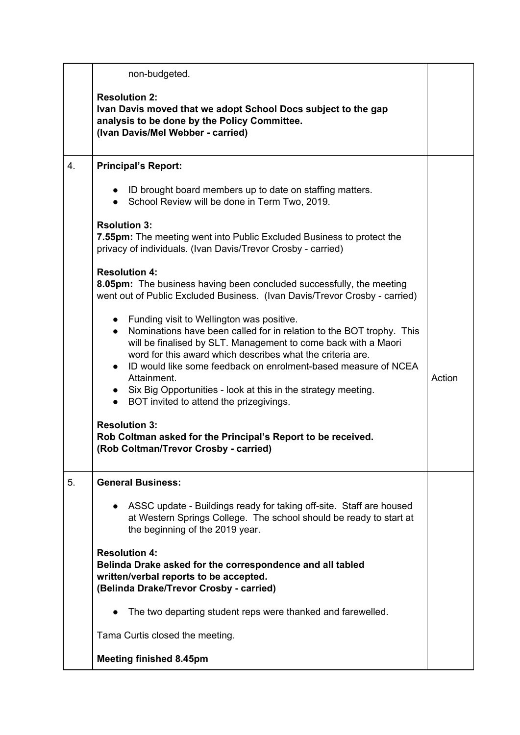|    | non-budgeted.                                                                                                                                                                                                                                                                                                                                                                                                                                                                                                                                                          |        |
|----|------------------------------------------------------------------------------------------------------------------------------------------------------------------------------------------------------------------------------------------------------------------------------------------------------------------------------------------------------------------------------------------------------------------------------------------------------------------------------------------------------------------------------------------------------------------------|--------|
|    | <b>Resolution 2:</b><br>Ivan Davis moved that we adopt School Docs subject to the gap<br>analysis to be done by the Policy Committee.<br>(Ivan Davis/Mel Webber - carried)                                                                                                                                                                                                                                                                                                                                                                                             |        |
| 4. | <b>Principal's Report:</b>                                                                                                                                                                                                                                                                                                                                                                                                                                                                                                                                             |        |
|    | • ID brought board members up to date on staffing matters.<br>• School Review will be done in Term Two, 2019.                                                                                                                                                                                                                                                                                                                                                                                                                                                          |        |
|    | <b>Rsolution 3:</b><br>7.55pm: The meeting went into Public Excluded Business to protect the<br>privacy of individuals. (Ivan Davis/Trevor Crosby - carried)                                                                                                                                                                                                                                                                                                                                                                                                           |        |
|    | <b>Resolution 4:</b><br>8.05pm: The business having been concluded successfully, the meeting<br>went out of Public Excluded Business. (Ivan Davis/Trevor Crosby - carried)                                                                                                                                                                                                                                                                                                                                                                                             |        |
|    | • Funding visit to Wellington was positive.<br>Nominations have been called for in relation to the BOT trophy. This<br>$\bullet$<br>will be finalised by SLT. Management to come back with a Maori<br>word for this award which describes what the criteria are.<br>ID would like some feedback on enrolment-based measure of NCEA<br>$\bullet$<br>Attainment.<br>• Six Big Opportunities - look at this in the strategy meeting.<br>• BOT invited to attend the prizegivings.<br><b>Resolution 3:</b><br>Rob Coltman asked for the Principal's Report to be received. | Action |
|    | (Rob Coltman/Trevor Crosby - carried)                                                                                                                                                                                                                                                                                                                                                                                                                                                                                                                                  |        |
| 5. | <b>General Business:</b>                                                                                                                                                                                                                                                                                                                                                                                                                                                                                                                                               |        |
|    | • ASSC update - Buildings ready for taking off-site. Staff are housed<br>at Western Springs College. The school should be ready to start at<br>the beginning of the 2019 year.                                                                                                                                                                                                                                                                                                                                                                                         |        |
|    | <b>Resolution 4:</b><br>Belinda Drake asked for the correspondence and all tabled<br>written/verbal reports to be accepted.<br>(Belinda Drake/Trevor Crosby - carried)                                                                                                                                                                                                                                                                                                                                                                                                 |        |
|    | The two departing student reps were thanked and farewelled.                                                                                                                                                                                                                                                                                                                                                                                                                                                                                                            |        |
|    | Tama Curtis closed the meeting.                                                                                                                                                                                                                                                                                                                                                                                                                                                                                                                                        |        |
|    | <b>Meeting finished 8.45pm</b>                                                                                                                                                                                                                                                                                                                                                                                                                                                                                                                                         |        |